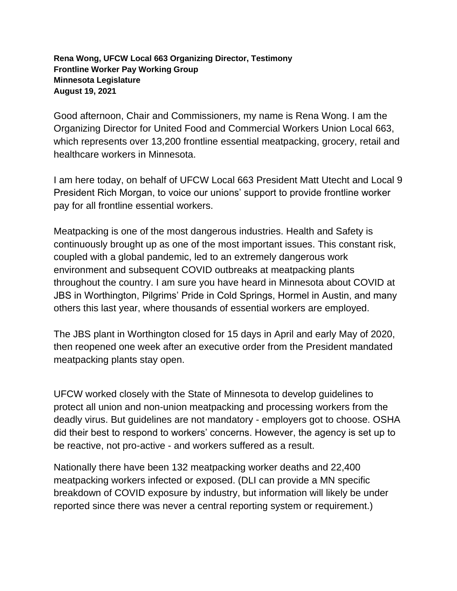## **Rena Wong, UFCW Local 663 Organizing Director, Testimony Frontline Worker Pay Working Group Minnesota Legislature August 19, 2021**

Good afternoon, Chair and Commissioners, my name is Rena Wong. I am the Organizing Director for United Food and Commercial Workers Union Local 663, which represents over 13,200 frontline essential meatpacking, grocery, retail and healthcare workers in Minnesota.

I am here today, on behalf of UFCW Local 663 President Matt Utecht and Local 9 President Rich Morgan, to voice our unions' support to provide frontline worker pay for all frontline essential workers.

Meatpacking is one of the most dangerous industries. Health and Safety is continuously brought up as one of the most important issues. This constant risk, coupled with a global pandemic, led to an extremely dangerous work environment and subsequent COVID outbreaks at meatpacking plants throughout the country. I am sure you have heard in Minnesota about COVID at JBS in Worthington, Pilgrims' Pride in Cold Springs, Hormel in Austin, and many others this last year, where thousands of essential workers are employed.

The JBS plant in Worthington closed for 15 days in April and early May of 2020, then reopened one week after an executive order from the President mandated meatpacking plants stay open.

UFCW worked closely with the State of Minnesota to develop guidelines to protect all union and non-union meatpacking and processing workers from the deadly virus. But guidelines are not mandatory - employers got to choose. OSHA did their best to respond to workers' concerns. However, the agency is set up to be reactive, not pro-active - and workers suffered as a result.

Nationally there have been 132 meatpacking worker deaths and 22,400 meatpacking workers infected or exposed. (DLI can provide a MN specific breakdown of COVID exposure by industry, but information will likely be under reported since there was never a central reporting system or requirement.)